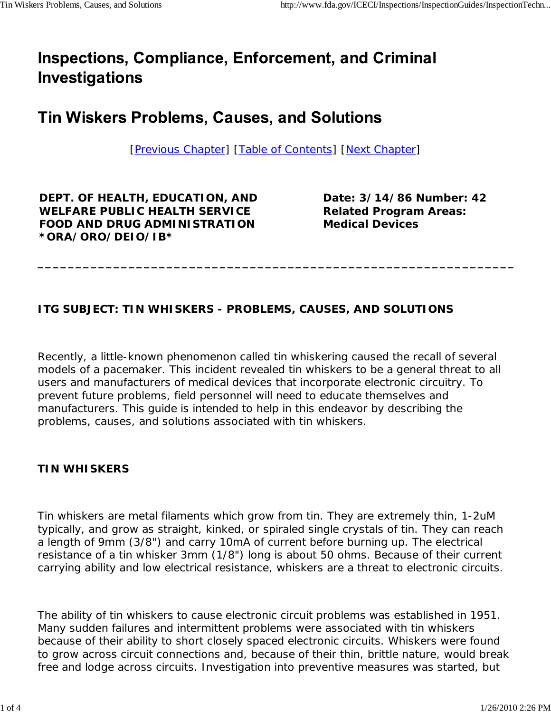# **Inspections, Compliance, Enforcement, and Criminal Investigations**

## **Tin Wiskers Problems, Causes, and Solutions**

[Previous Chapter] [Table of Contents] [Next Chapter]

**\_\_\_\_\_\_\_\_\_\_\_\_\_\_\_\_\_\_\_\_\_\_\_\_\_\_\_\_\_\_\_\_\_\_\_\_\_\_\_\_\_\_\_\_\_\_\_\_\_\_\_\_\_\_\_\_\_\_\_\_\_\_\_**

**DEPT. OF HEALTH, EDUCATION, AND WELFARE PUBLIC HEALTH SERVICE FOOD AND DRUG ADMINISTRATION \*ORA/ORO/DEIO/IB\***

**Date: 3/14/86 Number: 42 Related Program Areas: Medical Devices**

### **ITG SUBJECT: TIN WHISKERS - PROBLEMS, CAUSES, AND SOLUTIONS**

Recently, a little-known phenomenon called tin whiskering caused the recall of several models of a pacemaker. This incident revealed tin whiskers to be a general threat to all users and manufacturers of medical devices that incorporate electronic circuitry. To prevent future problems, field personnel will need to educate themselves and manufacturers. This guide is intended to help in this endeavor by describing the problems, causes, and solutions associated with tin whiskers.

#### **TIN WHISKERS**

Tin whiskers are metal filaments which grow from tin. They are extremely thin, 1-2uM typically, and grow as straight, kinked, or spiraled single crystals of tin. They can reach a length of 9mm (3/8") and carry 10mA of current before burning up. The electrical resistance of a tin whisker 3mm (1/8") long is about 50 ohms. Because of their current carrying ability and low electrical resistance, whiskers are a threat to electronic circuits.

The ability of tin whiskers to cause electronic circuit problems was established in 1951. Many sudden failures and intermittent problems were associated with tin whiskers because of their ability to short closely spaced electronic circuits. Whiskers were found to grow across circuit connections and, because of their thin, brittle nature, would break free and lodge across circuits. Investigation into preventive measures was started, but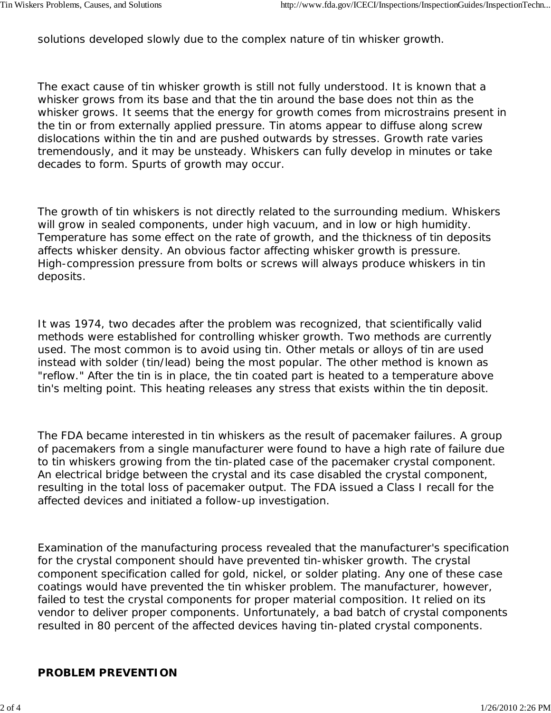solutions developed slowly due to the complex nature of tin whisker growth.

The exact cause of tin whisker growth is still not fully understood. It is known that a whisker grows from its base and that the tin around the base does not thin as the whisker grows. It seems that the energy for growth comes from microstrains present in the tin or from externally applied pressure. Tin atoms appear to diffuse along screw dislocations within the tin and are pushed outwards by stresses. Growth rate varies tremendously, and it may be unsteady. Whiskers can fully develop in minutes or take decades to form. Spurts of growth may occur.

The growth of tin whiskers is not directly related to the surrounding medium. Whiskers will grow in sealed components, under high vacuum, and in low or high humidity. Temperature has some effect on the rate of growth, and the thickness of tin deposits affects whisker density. An obvious factor affecting whisker growth is pressure. High-compression pressure from bolts or screws will always produce whiskers in tin deposits.

It was 1974, two decades after the problem was recognized, that scientifically valid methods were established for controlling whisker growth. Two methods are currently used. The most common is to avoid using tin. Other metals or alloys of tin are used instead with solder (tin/lead) being the most popular. The other method is known as "reflow." After the tin is in place, the tin coated part is heated to a temperature above tin's melting point. This heating releases any stress that exists within the tin deposit.

The FDA became interested in tin whiskers as the result of pacemaker failures. A group of pacemakers from a single manufacturer were found to have a high rate of failure due to tin whiskers growing from the tin-plated case of the pacemaker crystal component. An electrical bridge between the crystal and its case disabled the crystal component, resulting in the total loss of pacemaker output. The FDA issued a Class I recall for the affected devices and initiated a follow-up investigation.

Examination of the manufacturing process revealed that the manufacturer's specification for the crystal component should have prevented tin-whisker growth. The crystal component specification called for gold, nickel, or solder plating. Any one of these case coatings would have prevented the tin whisker problem. The manufacturer, however, failed to test the crystal components for proper material composition. It relied on its vendor to deliver proper components. Unfortunately, a bad batch of crystal components resulted in 80 percent of the affected devices having tin-plated crystal components.

#### **PROBLEM PREVENTION**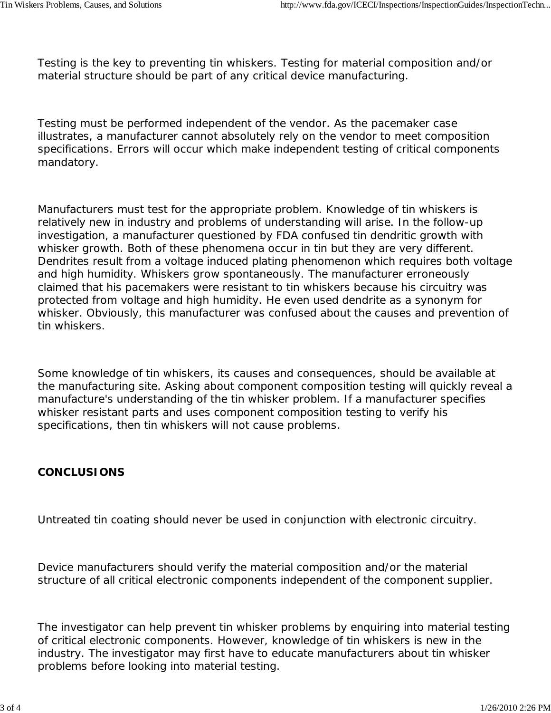Testing is the key to preventing tin whiskers. Testing for material composition and/or material structure should be part of any critical device manufacturing.

Testing must be performed independent of the vendor. As the pacemaker case illustrates, a manufacturer cannot absolutely rely on the vendor to meet composition specifications. Errors will occur which make independent testing of critical components mandatory.

Manufacturers must test for the appropriate problem. Knowledge of tin whiskers is relatively new in industry and problems of understanding will arise. In the follow-up investigation, a manufacturer questioned by FDA confused tin dendritic growth with whisker growth. Both of these phenomena occur in tin but they are very different. Dendrites result from a voltage induced plating phenomenon which requires both voltage and high humidity. Whiskers grow spontaneously. The manufacturer erroneously claimed that his pacemakers were resistant to tin whiskers because his circuitry was protected from voltage and high humidity. He even used dendrite as a synonym for whisker. Obviously, this manufacturer was confused about the causes and prevention of tin whiskers.

Some knowledge of tin whiskers, its causes and consequences, should be available at the manufacturing site. Asking about component composition testing will quickly reveal a manufacture's understanding of the tin whisker problem. If a manufacturer specifies whisker resistant parts and uses component composition testing to verify his specifications, then tin whiskers will not cause problems.

#### **CONCLUSIONS**

Untreated tin coating should never be used in conjunction with electronic circuitry.

Device manufacturers should verify the material composition and/or the material structure of all critical electronic components independent of the component supplier.

The investigator can help prevent tin whisker problems by enquiring into material testing of critical electronic components. However, knowledge of tin whiskers is new in the industry. The investigator may first have to educate manufacturers about tin whisker problems before looking into material testing.